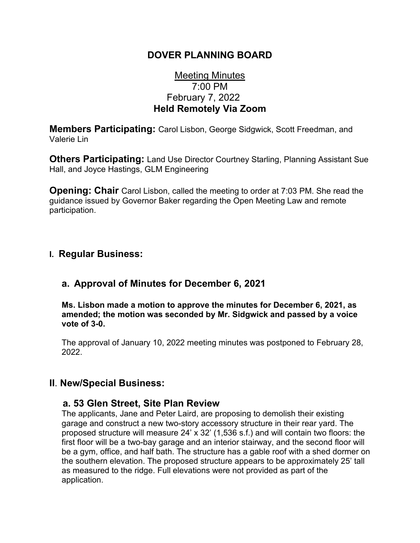## **DOVER PLANNING BOARD**

# Meeting Minutes 7:00 PM February 7, 2022 **Held Remotely Via Zoom**

**Members Participating:** Carol Lisbon, George Sidgwick, Scott Freedman, and Valerie Lin

**Others Participating:** Land Use Director Courtney Starling, Planning Assistant Sue Hall, and Joyce Hastings, GLM Engineering

**Opening: Chair** Carol Lisbon, called the meeting to order at 7:03 PM. She read the guidance issued by Governor Baker regarding the Open Meeting Law and remote participation.

## **I. Regular Business:**

# **a. Approval of Minutes for December 6, 2021**

**Ms. Lisbon made a motion to approve the minutes for December 6, 2021, as amended; the motion was seconded by Mr. Sidgwick and passed by a voice vote of 3-0.**

The approval of January 10, 2022 meeting minutes was postponed to February 28, 2022.

## **II**. **New/Special Business:**

#### **a. 53 Glen Street, Site Plan Review**

The applicants, Jane and Peter Laird, are proposing to demolish their existing garage and construct a new two-story accessory structure in their rear yard. The proposed structure will measure 24' x 32' (1,536 s.f.) and will contain two floors: the first floor will be a two-bay garage and an interior stairway, and the second floor will be a gym, office, and half bath. The structure has a gable roof with a shed dormer on the southern elevation. The proposed structure appears to be approximately 25' tall as measured to the ridge. Full elevations were not provided as part of the application.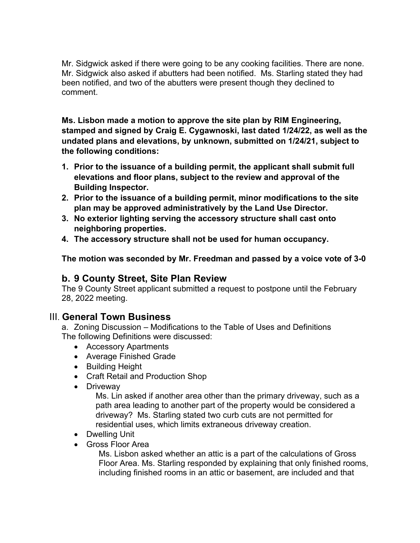Mr. Sidgwick asked if there were going to be any cooking facilities. There are none. Mr. Sidgwick also asked if abutters had been notified. Ms. Starling stated they had been notified, and two of the abutters were present though they declined to comment.

**Ms. Lisbon made a motion to approve the site plan by RIM Engineering, stamped and signed by Craig E. Cygawnoski, last dated 1/24/22, as well as the undated plans and elevations, by unknown, submitted on 1/24/21, subject to the following conditions:**

- **1. Prior to the issuance of a building permit, the applicant shall submit full elevations and floor plans, subject to the review and approval of the Building Inspector.**
- **2. Prior to the issuance of a building permit, minor modifications to the site plan may be approved administratively by the Land Use Director.**
- **3. No exterior lighting serving the accessory structure shall cast onto neighboring properties.**
- **4. The accessory structure shall not be used for human occupancy.**

**The motion was seconded by Mr. Freedman and passed by a voice vote of 3-0**

## **b. 9 County Street, Site Plan Review**

The 9 County Street applicant submitted a request to postpone until the February 28, 2022 meeting.

## III. **General Town Business**

a. Zoning Discussion – Modifications to the Table of Uses and Definitions The following Definitions were discussed:

- Accessory Apartments
- Average Finished Grade
- Building Height
- Craft Retail and Production Shop
- Driveway

Ms. Lin asked if another area other than the primary driveway, such as a path area leading to another part of the property would be considered a driveway? Ms. Starling stated two curb cuts are not permitted for residential uses, which limits extraneous driveway creation.

- Dwelling Unit
- Gross Floor Area

Ms. Lisbon asked whether an attic is a part of the calculations of Gross Floor Area. Ms. Starling responded by explaining that only finished rooms, including finished rooms in an attic or basement, are included and that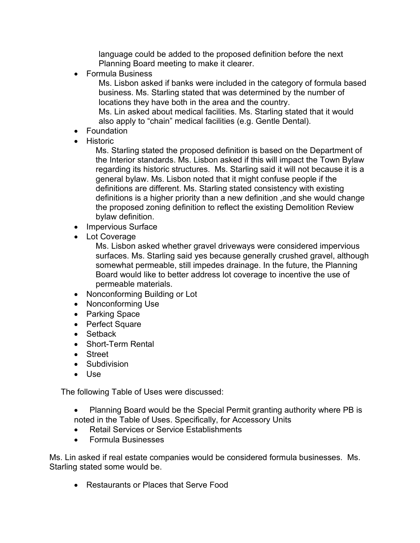language could be added to the proposed definition before the next Planning Board meeting to make it clearer.

• Formula Business

Ms. Lisbon asked if banks were included in the category of formula based business. Ms. Starling stated that was determined by the number of locations they have both in the area and the country.

Ms. Lin asked about medical facilities. Ms. Starling stated that it would also apply to "chain" medical facilities (e.g. Gentle Dental).

- Foundation
- Historic

Ms. Starling stated the proposed definition is based on the Department of the Interior standards. Ms. Lisbon asked if this will impact the Town Bylaw regarding its historic structures. Ms. Starling said it will not because it is a general bylaw. Ms. Lisbon noted that it might confuse people if the definitions are different. Ms. Starling stated consistency with existing definitions is a higher priority than a new definition ,and she would change the proposed zoning definition to reflect the existing Demolition Review bylaw definition.

- Impervious Surface
- Lot Coverage

Ms. Lisbon asked whether gravel driveways were considered impervious surfaces. Ms. Starling said yes because generally crushed gravel, although somewhat permeable, still impedes drainage. In the future, the Planning Board would like to better address lot coverage to incentive the use of permeable materials.

- Nonconforming Building or Lot
- Nonconforming Use
- Parking Space
- Perfect Square
- Setback
- Short-Term Rental
- Street
- Subdivision
- Use

The following Table of Uses were discussed:

- Planning Board would be the Special Permit granting authority where PB is noted in the Table of Uses. Specifically, for Accessory Units
- Retail Services or Service Establishments
- Formula Businesses

Ms. Lin asked if real estate companies would be considered formula businesses. Ms. Starling stated some would be.

• Restaurants or Places that Serve Food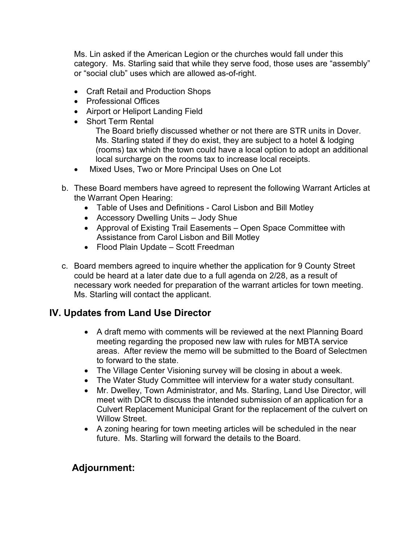Ms. Lin asked if the American Legion or the churches would fall under this category. Ms. Starling said that while they serve food, those uses are "assembly" or "social club" uses which are allowed as-of-right.

- Craft Retail and Production Shops
- Professional Offices
- Airport or Heliport Landing Field
- Short Term Rental

The Board briefly discussed whether or not there are STR units in Dover. Ms. Starling stated if they do exist, they are subject to a hotel & lodging (rooms) tax which the town could have a local option to adopt an additional local surcharge on the rooms tax to increase local receipts.

- Mixed Uses, Two or More Principal Uses on One Lot
- b. These Board members have agreed to represent the following Warrant Articles at the Warrant Open Hearing:
	- Table of Uses and Definitions Carol Lisbon and Bill Motley
	- Accessory Dwelling Units Jody Shue
	- Approval of Existing Trail Easements Open Space Committee with Assistance from Carol Lisbon and Bill Motley
	- Flood Plain Update Scott Freedman
- c. Board members agreed to inquire whether the application for 9 County Street could be heard at a later date due to a full agenda on 2/28, as a result of necessary work needed for preparation of the warrant articles for town meeting. Ms. Starling will contact the applicant.

# **IV. Updates from Land Use Director**

- A draft memo with comments will be reviewed at the next Planning Board meeting regarding the proposed new law with rules for MBTA service areas. After review the memo will be submitted to the Board of Selectmen to forward to the state.
- The Village Center Visioning survey will be closing in about a week.
- The Water Study Committee will interview for a water study consultant.
- Mr. Dwelley, Town Administrator, and Ms. Starling, Land Use Director, will meet with DCR to discuss the intended submission of an application for a Culvert Replacement Municipal Grant for the replacement of the culvert on Willow Street.
- A zoning hearing for town meeting articles will be scheduled in the near future. Ms. Starling will forward the details to the Board.

# **Adjournment:**